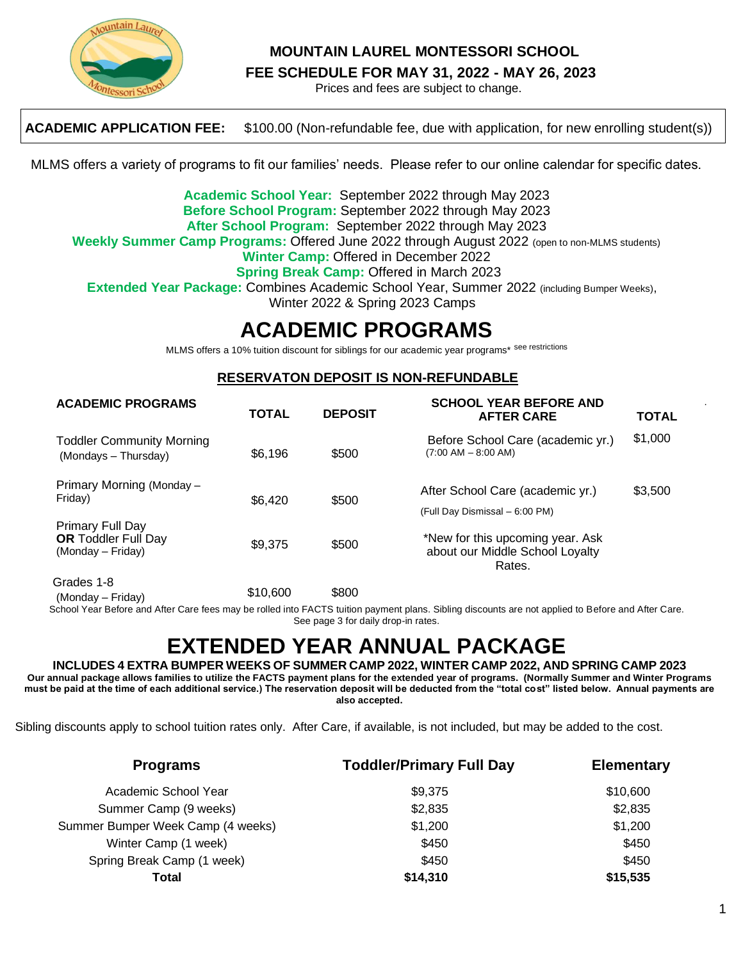

## **MOUNTAIN LAUREL MONTESSORI SCHOOL**

**FEE SCHEDULE FOR MAY 31, 2022 - MAY 26, 2023**

Prices and fees are subject to change.

**ACADEMIC APPLICATION FEE:** \$100.00 (Non-refundable fee, due with application, for new enrolling student(s))

MLMS offers a variety of programs to fit our families' needs. Please refer to our online calendar for specific dates.

**Academic School Year:** September 2022 through May 2023 **Before School Program:** September 2022 through May 2023 **After School Program:** September 2022 through May 2023 **Weekly Summer Camp Programs:** Offered June 2022 through August 2022 (open to non-MLMS students) **Winter Camp:** Offered in December 2022 **Spring Break Camp:** Offered in March 2023 **Extended Year Package:** Combines Academic School Year, Summer 2022 (including Bumper Weeks), Winter 2022 & Spring 2023 Camps

## **ACADEMIC PROGRAMS**

MLMS offers a 10% tuition discount for siblings for our academic year programs\* see restrictions

#### **RESERVATON DEPOSIT IS NON-REFUNDABLE**

| <b>ACADEMIC PROGRAMS</b>                                                   | <b>TOTAL</b> | <b>DEPOSIT</b> | <b>SCHOOL YEAR BEFORE AND</b><br><b>AFTER CARE</b>                            | <b>TOTAL</b> |
|----------------------------------------------------------------------------|--------------|----------------|-------------------------------------------------------------------------------|--------------|
| <b>Toddler Community Morning</b><br>(Mondays - Thursday)                   | \$6,196      | \$500          | Before School Care (academic yr.)<br>$(7:00$ AM $-$ 8:00 AM)                  | \$1,000      |
| Primary Morning (Monday –<br>Friday)                                       | \$6,420      | \$500          | After School Care (academic yr.)<br>(Full Day Dismissal - 6:00 PM)            | \$3,500      |
| <b>Primary Full Day</b><br><b>OR Toddler Full Day</b><br>(Monday – Friday) | \$9,375      | \$500          | *New for this upcoming year. Ask<br>about our Middle School Loyalty<br>Rates. |              |
| Grades 1-8<br>(Monday – Friday)                                            | \$10,600     | \$800          |                                                                               |              |

School Year Before and After Care fees may be rolled into FACTS tuition payment plans. Sibling discounts are not applied to Before and After Care. See page 3 for daily drop-in rates.

# **EXTENDED YEAR ANNUAL PACKAGE**

**INCLUDES 4 EXTRA BUMPER WEEKS OF SUMMER CAMP 2022, WINTER CAMP 2022, AND SPRING CAMP 2023 Our annual package allows families to utilize the FACTS payment plans for the extended year of programs. (Normally Summer and Winter Programs must be paid at the time of each additional service.) The reservation deposit will be deducted from the "total cost" listed below. Annual payments are also accepted.** 

Sibling discounts apply to school tuition rates only. After Care, if available, is not included, but may be added to the cost.

| <b>Programs</b>                   | <b>Toddler/Primary Full Day</b> | <b>Elementary</b> |  |
|-----------------------------------|---------------------------------|-------------------|--|
| Academic School Year              | \$9,375                         | \$10,600          |  |
| Summer Camp (9 weeks)             | \$2,835                         | \$2,835           |  |
| Summer Bumper Week Camp (4 weeks) | \$1,200                         | \$1,200           |  |
| Winter Camp (1 week)              | \$450                           | \$450             |  |
| Spring Break Camp (1 week)        | \$450                           | \$450             |  |
| Total                             | \$14,310                        | \$15,535          |  |

.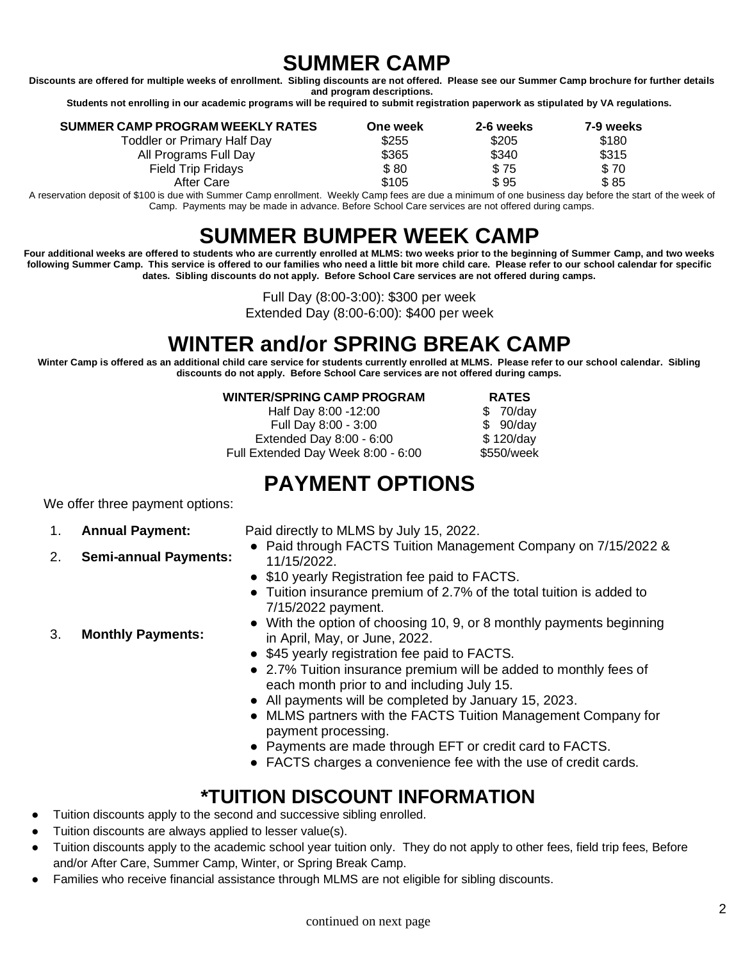# **SUMMER CAMP**

**Discounts are offered for multiple weeks of enrollment. Sibling discounts are not offered. Please see our Summer Camp brochure for further details and program descriptions.**

**Students not enrolling in our academic programs will be required to submit registration paperwork as stipulated by VA regulations.**

| SUMMER CAMP PROGRAM WEEKLY RATES   | One week | 2-6 weeks | 7-9 weeks |
|------------------------------------|----------|-----------|-----------|
| <b>Toddler or Primary Half Day</b> | \$255    | \$205     | \$180     |
| All Programs Full Day              | \$365    | \$340     | \$315     |
| <b>Field Trip Fridays</b>          | \$80     | \$75      | \$70      |
| After Care                         | \$105    | \$95      | \$85      |

A reservation deposit of \$100 is due with Summer Camp enrollment. Weekly Camp fees are due a minimum of one business day before the start of the week of Camp. Payments may be made in advance. Before School Care services are not offered during camps.

# **SUMMER BUMPER WEEK CAMP**

**Four additional weeks are offered to students who are currently enrolled at MLMS: two weeks prior to the beginning of Summer Camp, and two weeks following Summer Camp. This service is offered to our families who need a little bit more child care. Please refer to our school calendar for specific dates. Sibling discounts do not apply. Before School Care services are not offered during camps.**

Full Day (8:00-3:00): \$300 per week

Extended Day (8:00-6:00): \$400 per week

## **WINTER and/or SPRING BREAK CAMP**

**Winter Camp is offered as an additional child care service for students currently enrolled at MLMS. Please refer to our school calendar. Sibling discounts do not apply. Before School Care services are not offered during camps.** 

#### **WINTER/SPRING CAMP PROGRAM RATES**

Half Day 8:00 -12:00 \$ 70/day Full Day 8:00 - 3:00 \$ 90/day Extended Day 8:00 - 6:00 \$ 120/day Full Extended Day Week 8:00 - 6:00 \$550/week

## **PAYMENT OPTIONS**

We offer three payment options:

3. **Monthly Payments:**

2. **Semi-annual Payments:**

1. **Annual Payment:** Paid directly to MLMS by July 15, 2022.

- Paid through FACTS Tuition Management Company on 7/15/2022 & 11/15/2022.
- \$10 yearly Registration fee paid to FACTS.
- Tuition insurance premium of 2.7% of the total tuition is added to 7/15/2022 payment.
- With the option of choosing 10, 9, or 8 monthly payments beginning in April, May, or June, 2022.
- \$45 yearly registration fee paid to FACTS.
- 2.7% Tuition insurance premium will be added to monthly fees of each month prior to and including July 15.
- All payments will be completed by January 15, 2023.
- MLMS partners with the FACTS Tuition Management Company for payment processing.
- Payments are made through EFT or credit card to FACTS.
- FACTS charges a convenience fee with the use of credit cards.

## **\*TUITION DISCOUNT INFORMATION**

- Tuition discounts apply to the second and successive sibling enrolled.
- Tuition discounts are always applied to lesser value(s).
- Tuition discounts apply to the academic school year tuition only. They do not apply to other fees, field trip fees, Before and/or After Care, Summer Camp, Winter, or Spring Break Camp.
- Families who receive financial assistance through MLMS are not eligible for sibling discounts.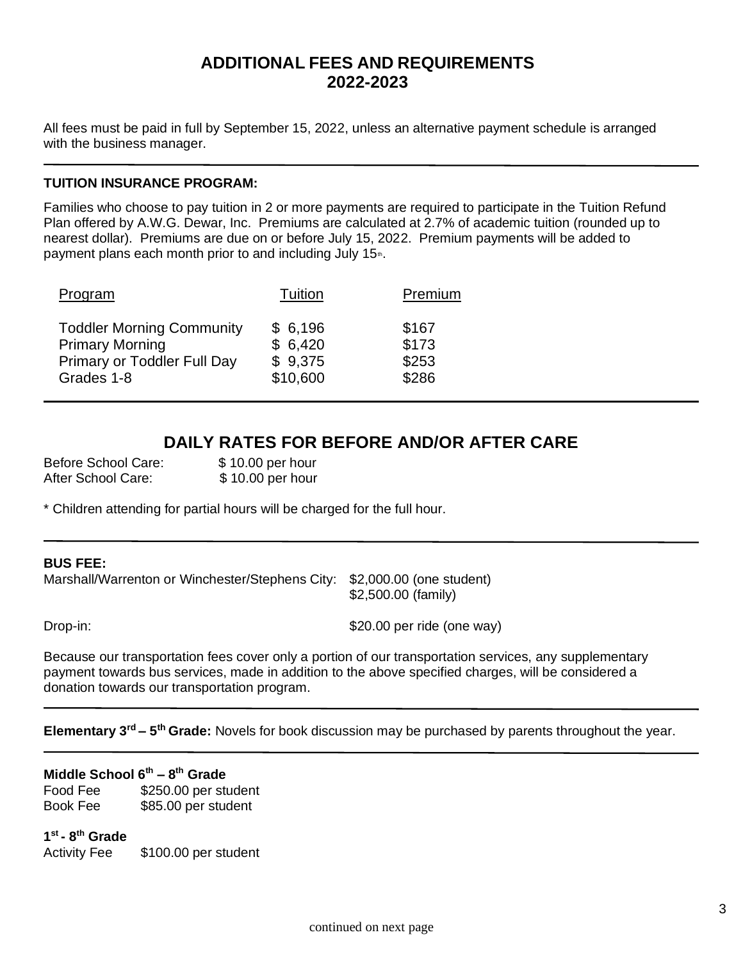## **ADDITIONAL FEES AND REQUIREMENTS 2022-2023**

All fees must be paid in full by September 15, 2022, unless an alternative payment schedule is arranged with the business manager.

### **TUITION INSURANCE PROGRAM:**

Families who choose to pay tuition in 2 or more payments are required to participate in the Tuition Refund Plan offered by A.W.G. Dewar, Inc. Premiums are calculated at 2.7% of academic tuition (rounded up to nearest dollar). Premiums are due on or before July 15, 2022. Premium payments will be added to payment plans each month prior to and including July 15<sup>th</sup>.

| Program                          | Tuition  | Premium |
|----------------------------------|----------|---------|
| <b>Toddler Morning Community</b> | \$6,196  | \$167   |
| <b>Primary Morning</b>           | \$6,420  | \$173   |
| Primary or Toddler Full Day      | \$9,375  | \$253   |
| Grades 1-8                       | \$10,600 | \$286   |

## **DAILY RATES FOR BEFORE AND/OR AFTER CARE**

Before School Care: \$ 10.00 per hour After School Care: \$10.00 per hour

\* Children attending for partial hours will be charged for the full hour.

### **BUS FEE:**

Marshall/Warrenton or Winchester/Stephens City: \$2,000.00 (one student)

\$2,500.00 (family)

Drop-in: \$20.00 per ride (one way)

Because our transportation fees cover only a portion of our transportation services, any supplementary payment towards bus services, made in addition to the above specified charges, will be considered a donation towards our transportation program.

**Elementary 3rd – 5 th Grade:** Novels for book discussion may be purchased by parents throughout the year.

## **Middle School 6th – 8 th Grade**

Food Fee \$250.00 per student Book Fee \$85.00 per student

**1 st - 8 th Grade** Activity Fee \$100.00 per student